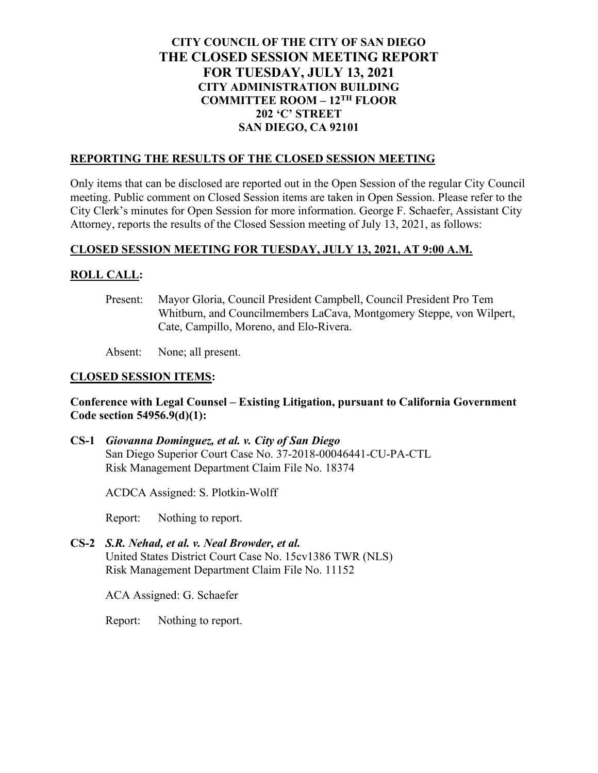# **CITY COUNCIL OF THE CITY OF SAN DIEGO THE CLOSED SESSION MEETING REPORT FOR TUESDAY, JULY 13, 2021 CITY ADMINISTRATION BUILDING COMMITTEE ROOM – 12TH FLOOR 202 'C' STREET SAN DIEGO, CA 92101**

#### **REPORTING THE RESULTS OF THE CLOSED SESSION MEETING**

Only items that can be disclosed are reported out in the Open Session of the regular City Council meeting. Public comment on Closed Session items are taken in Open Session. Please refer to the City Clerk's minutes for Open Session for more information. George F. Schaefer, Assistant City Attorney, reports the results of the Closed Session meeting of July 13, 2021, as follows:

### **CLOSED SESSION MEETING FOR TUESDAY, JULY 13, 2021, AT 9:00 A.M.**

### **ROLL CALL:**

Present: Mayor Gloria, Council President Campbell, Council President Pro Tem Whitburn, and Councilmembers LaCava, Montgomery Steppe, von Wilpert, Cate, Campillo, Moreno, and Elo-Rivera.

Absent: None; all present.

### **CLOSED SESSION ITEMS:**

### **Conference with Legal Counsel – Existing Litigation, pursuant to California Government Code section 54956.9(d)(1):**

**CS-1** *Giovanna Dominguez, et al. v. City of San Diego* San Diego Superior Court Case No. 37-2018-00046441-CU-PA-CTL Risk Management Department Claim File No. 18374

ACDCA Assigned: S. Plotkin-Wolff

Report: Nothing to report.

**CS-2** *S.R. Nehad, et al. v. Neal Browder, et al.* United States District Court Case No. 15cv1386 TWR (NLS) Risk Management Department Claim File No. 11152

ACA Assigned: G. Schaefer

Report: Nothing to report.